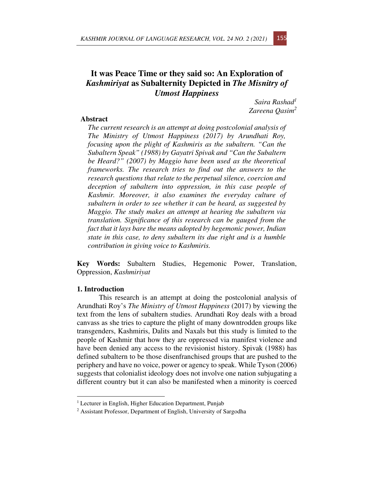# **It was Peace Time or they said so: An Exploration of**  *Kashmiriyat* **as Subalternity Depicted in** *The Misnitry of Utmost Happiness*

*Saira Rashad<sup>1</sup> Zareena Qasim<sup>2</sup>* 

## **Abstract**

*The current research is an attempt at doing postcolonial analysis of The Ministry of Utmost Happiness (2017) by Arundhati Roy, focusing upon the plight of Kashmiris as the subaltern. "Can the Subaltern Speak" (1988) by Gayatri Spivak and "Can the Subaltern be Heard?" (2007) by Maggio have been used as the theoretical frameworks. The research tries to find out the answers to the research questions that relate to the perpetual silence, coercion and deception of subaltern into oppression, in this case people of Kashmir. Moreover, it also examines the everyday culture of subaltern in order to see whether it can be heard, as suggested by Maggio. The study makes an attempt at hearing the subaltern via translation. Significance of this research can be gauged from the fact that it lays bare the means adopted by hegemonic power, Indian state in this case, to deny subaltern its due right and is a humble contribution in giving voice to Kashmiris.* 

**Key Words:** Subaltern Studies, Hegemonic Power, Translation, Oppression, *Kashmiriyat*

## **1. Introduction**

This research is an attempt at doing the postcolonial analysis of Arundhati Roy's *The Ministry of Utmost Happiness* (2017) by viewing the text from the lens of subaltern studies. Arundhati Roy deals with a broad canvass as she tries to capture the plight of many downtrodden groups like transgenders, Kashmiris, Dalits and Naxals but this study is limited to the people of Kashmir that how they are oppressed via manifest violence and have been denied any access to the revisionist history. Spivak (1988) has defined subaltern to be those disenfranchised groups that are pushed to the periphery and have no voice, power or agency to speak. While Tyson (2006) suggests that colonialist ideology does not involve one nation subjugating a different country but it can also be manifested when a minority is coerced

<sup>&</sup>lt;sup>1</sup> Lecturer in English, Higher Education Department, Punjab

<sup>&</sup>lt;sup>2</sup> Assistant Professor, Department of English, University of Sargodha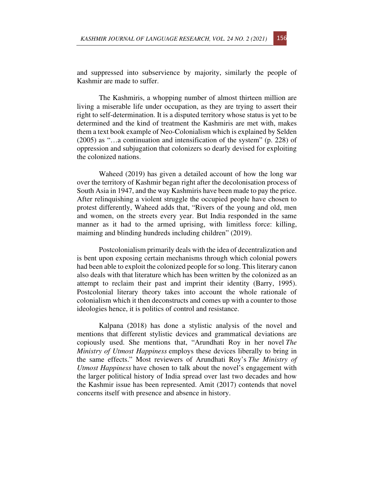and suppressed into subservience by majority, similarly the people of Kashmir are made to suffer.

The Kashmiris, a whopping number of almost thirteen million are living a miserable life under occupation, as they are trying to assert their right to self-determination. It is a disputed territory whose status is yet to be determined and the kind of treatment the Kashmiris are met with, makes them a text book example of Neo-Colonialism which is explained by Selden (2005) as "…a continuation and intensification of the system" (p. 228) of oppression and subjugation that colonizers so dearly devised for exploiting the colonized nations.

Waheed (2019) has given a detailed account of how the long war over the territory of Kashmir began right after the decolonisation process of South Asia in 1947, and the way Kashmiris have been made to pay the price. After relinquishing a violent struggle the occupied people have chosen to protest differently, Waheed adds that, "Rivers of the young and old, men and women, on the streets every year. But India responded in the same manner as it had to the armed uprising, with limitless force: killing, maiming and blinding hundreds including children" (2019).

Postcolonialism primarily deals with the idea of decentralization and is bent upon exposing certain mechanisms through which colonial powers had been able to exploit the colonized people for so long. This literary canon also deals with that literature which has been written by the colonized as an attempt to reclaim their past and imprint their identity (Barry, 1995). Postcolonial literary theory takes into account the whole rationale of colonialism which it then deconstructs and comes up with a counter to those ideologies hence, it is politics of control and resistance.

Kalpana (2018) has done a stylistic analysis of the novel and mentions that different stylistic devices and grammatical deviations are copiously used. She mentions that, "Arundhati Roy in her novel *The Ministry of Utmost Happiness* employs these devices liberally to bring in the same effects." Most reviewers of Arundhati Roy's *The Ministry of Utmost Happiness* have chosen to talk about the novel's engagement with the larger political history of India spread over last two decades and how the Kashmir issue has been represented. Amit (2017) contends that novel concerns itself with presence and absence in history.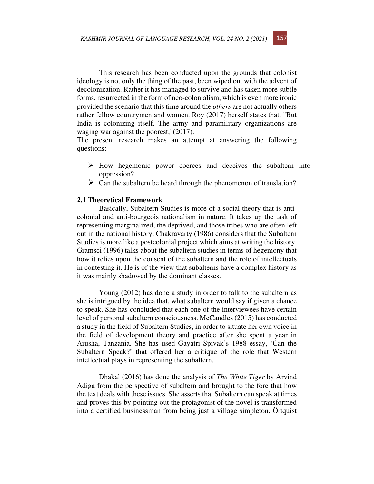This research has been conducted upon the grounds that colonist ideology is not only the thing of the past, been wiped out with the advent of decolonization. Rather it has managed to survive and has taken more subtle forms, resurrected in the form of neo-colonialism, which is even more ironic provided the scenario that this time around the *others* are not actually others rather fellow countrymen and women. Roy (2017) herself states that, "But India is colonizing itself. The army and paramilitary organizations are waging war against the poorest,"(2017).

The present research makes an attempt at answering the following questions:

- $\triangleright$  How hegemonic power coerces and deceives the subaltern into oppression?
- $\triangleright$  Can the subaltern be heard through the phenomenon of translation?

## **2.1 Theoretical Framework**

Basically, Subaltern Studies is more of a social theory that is anticolonial and anti-bourgeois nationalism in nature. It takes up the task of representing marginalized, the deprived, and those tribes who are often left out in the national history. Chakravarty (1986) considers that the Subaltern Studies is more like a postcolonial project which aims at writing the history. Gramsci (1996) talks about the subaltern studies in terms of hegemony that how it relies upon the consent of the subaltern and the role of intellectuals in contesting it. He is of the view that subalterns have a complex history as it was mainly shadowed by the dominant classes.

Young (2012) has done a study in order to talk to the subaltern as she is intrigued by the idea that, what subaltern would say if given a chance to speak. She has concluded that each one of the interviewees have certain level of personal subaltern consciousness. McCandles (2015) has conducted a study in the field of Subaltern Studies, in order to situate her own voice in the field of development theory and practice after she spent a year in Arusha, Tanzania. She has used Gayatri Spivak's 1988 essay, 'Can the Subaltern Speak?' that offered her a critique of the role that Western intellectual plays in representing the subaltern.

Dhakal (2016) has done the analysis of *The White Tiger* by Arvind Adiga from the perspective of subaltern and brought to the fore that how the text deals with these issues. She asserts that Subaltern can speak at times and proves this by pointing out the protagonist of the novel is transformed into a certified businessman from being just a village simpleton. Örtquist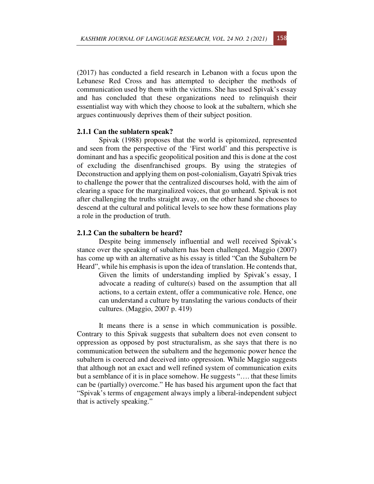(2017) has conducted a field research in Lebanon with a focus upon the Lebanese Red Cross and has attempted to decipher the methods of communication used by them with the victims. She has used Spivak's essay and has concluded that these organizations need to relinquish their essentialist way with which they choose to look at the subaltern, which she argues continuously deprives them of their subject position.

#### **2.1.1 Can the sublatern speak?**

Spivak (1988) proposes that the world is epitomized, represented and seen from the perspective of the 'First world' and this perspective is dominant and has a specific geopolitical position and this is done at the cost of excluding the disenfranchised groups. By using the strategies of Deconstruction and applying them on post-colonialism, Gayatri Spivak tries to challenge the power that the centralized discourses hold, with the aim of clearing a space for the marginalized voices, that go unheard. Spivak is not after challenging the truths straight away, on the other hand she chooses to descend at the cultural and political levels to see how these formations play a role in the production of truth.

### **2.1.2 Can the subaltern be heard?**

Despite being immensely influential and well received Spivak's stance over the speaking of subaltern has been challenged. Maggio (2007) has come up with an alternative as his essay is titled "Can the Subaltern be Heard", while his emphasis is upon the idea of translation. He contends that,

Given the limits of understanding implied by Spivak's essay, I advocate a reading of culture(s) based on the assumption that all actions, to a certain extent, offer a communicative role. Hence, one can understand a culture by translating the various conducts of their cultures. (Maggio, 2007 p. 419)

It means there is a sense in which communication is possible. Contrary to this Spivak suggests that subaltern does not even consent to oppression as opposed by post structuralism, as she says that there is no communication between the subaltern and the hegemonic power hence the subaltern is coerced and deceived into oppression. While Maggio suggests that although not an exact and well refined system of communication exits but a semblance of it is in place somehow. He suggests "…. that these limits can be (partially) overcome." He has based his argument upon the fact that "Spivak's terms of engagement always imply a liberal-independent subject that is actively speaking."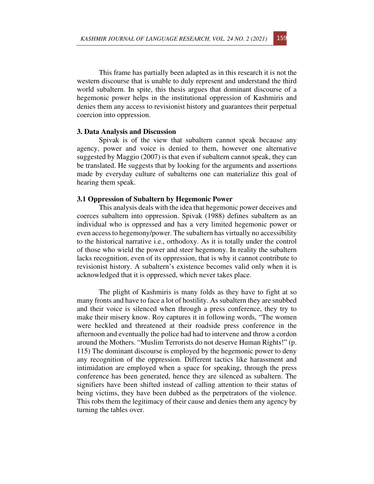This frame has partially been adapted as in this research it is not the western discourse that is unable to duly represent and understand the third world subaltern. In spite, this thesis argues that dominant discourse of a hegemonic power helps in the institutional oppression of Kashmiris and denies them any access to revisionist history and guarantees their perpetual coercion into oppression.

#### **3. Data Analysis and Discussion**

Spivak is of the view that subaltern cannot speak because any agency, power and voice is denied to them, however one alternative suggested by Maggio (2007) is that even if subaltern cannot speak, they can be translated. He suggests that by looking for the arguments and assertions made by everyday culture of subalterns one can materialize this goal of hearing them speak.

#### **3.1 Oppression of Subaltern by Hegemonic Power**

This analysis deals with the idea that hegemonic power deceives and coerces subaltern into oppression. Spivak (1988) defines subaltern as an individual who is oppressed and has a very limited hegemonic power or even access to hegemony/power. The subaltern has virtually no accessibility to the historical narrative i.e., orthodoxy. As it is totally under the control of those who wield the power and steer hegemony. In reality the subaltern lacks recognition, even of its oppression, that is why it cannot contribute to revisionist history. A subaltern's existence becomes valid only when it is acknowledged that it is oppressed, which never takes place.

The plight of Kashmiris is many folds as they have to fight at so many fronts and have to face a lot of hostility. As subaltern they are snubbed and their voice is silenced when through a press conference, they try to make their misery know. Roy captures it in following words, "The women were heckled and threatened at their roadside press conference in the afternoon and eventually the police had had to intervene and throw a cordon around the Mothers. "Muslim Terrorists do not deserve Human Rights!" (p. 115) The dominant discourse is employed by the hegemonic power to deny any recognition of the oppression. Different tactics like harassment and intimidation are employed when a space for speaking, through the press conference has been generated, hence they are silenced as subaltern. The signifiers have been shifted instead of calling attention to their status of being victims, they have been dubbed as the perpetrators of the violence. This robs them the legitimacy of their cause and denies them any agency by turning the tables over.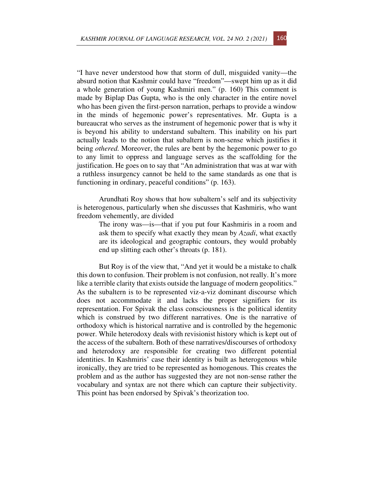"I have never understood how that storm of dull, misguided vanity—the absurd notion that Kashmir could have "freedom"—swept him up as it did a whole generation of young Kashmiri men." (p. 160) This comment is made by Biplap Das Gupta, who is the only character in the entire novel who has been given the first-person narration, perhaps to provide a window in the minds of hegemonic power's representatives. Mr. Gupta is a bureaucrat who serves as the instrument of hegemonic power that is why it is beyond his ability to understand subaltern. This inability on his part actually leads to the notion that subaltern is non-sense which justifies it being *othered.* Moreover, the rules are bent by the hegemonic power to go to any limit to oppress and language serves as the scaffolding for the justification. He goes on to say that "An administration that was at war with a ruthless insurgency cannot be held to the same standards as one that is functioning in ordinary, peaceful conditions" (p. 163).

Arundhati Roy shows that how subaltern's self and its subjectivity is heterogenous, particularly when she discusses that Kashmiris, who want freedom vehemently, are divided

The irony was—is—that if you put four Kashmiris in a room and ask them to specify what exactly they mean by *Azadi*, what exactly are its ideological and geographic contours, they would probably end up slitting each other's throats (p. 181).

But Roy is of the view that, "And yet it would be a mistake to chalk this down to confusion. Their problem is not confusion, not really. It's more like a terrible clarity that exists outside the language of modern geopolitics." As the subaltern is to be represented viz-a-viz dominant discourse which does not accommodate it and lacks the proper signifiers for its representation. For Spivak the class consciousness is the political identity which is construed by two different narratives. One is the narrative of orthodoxy which is historical narrative and is controlled by the hegemonic power. While heterodoxy deals with revisionist history which is kept out of the access of the subaltern. Both of these narratives/discourses of orthodoxy and heterodoxy are responsible for creating two different potential identities. In Kashmiris' case their identity is built as heterogenous while ironically, they are tried to be represented as homogenous. This creates the problem and as the author has suggested they are not non-sense rather the vocabulary and syntax are not there which can capture their subjectivity. This point has been endorsed by Spivak's theorization too.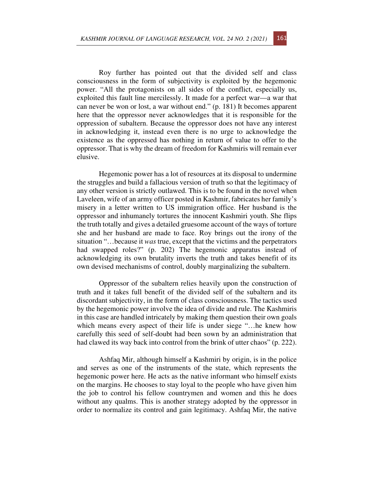Roy further has pointed out that the divided self and class consciousness in the form of subjectivity is exploited by the hegemonic power. "All the protagonists on all sides of the conflict, especially us, exploited this fault line mercilessly. It made for a perfect war—a war that can never be won or lost, a war without end." (p. 181) It becomes apparent here that the oppressor never acknowledges that it is responsible for the oppression of subaltern. Because the oppressor does not have any interest in acknowledging it, instead even there is no urge to acknowledge the existence as the oppressed has nothing in return of value to offer to the oppressor. That is why the dream of freedom for Kashmiris will remain ever elusive.

Hegemonic power has a lot of resources at its disposal to undermine the struggles and build a fallacious version of truth so that the legitimacy of any other version is strictly outlawed. This is to be found in the novel when Laveleen, wife of an army officer posted in Kashmir, fabricates her family's misery in a letter written to US immigration office. Her husband is the oppressor and inhumanely tortures the innocent Kashmiri youth. She flips the truth totally and gives a detailed gruesome account of the ways of torture she and her husband are made to face. Roy brings out the irony of the situation "…because it *was* true, except that the victims and the perpetrators had swapped roles?" (p. 202) The hegemonic apparatus instead of acknowledging its own brutality inverts the truth and takes benefit of its own devised mechanisms of control, doubly marginalizing the subaltern.

Oppressor of the subaltern relies heavily upon the construction of truth and it takes full benefit of the divided self of the subaltern and its discordant subjectivity, in the form of class consciousness. The tactics used by the hegemonic power involve the idea of divide and rule. The Kashmiris in this case are handled intricately by making them question their own goals which means every aspect of their life is under siege "…he knew how carefully this seed of self-doubt had been sown by an administration that had clawed its way back into control from the brink of utter chaos" (p. 222).

Ashfaq Mir, although himself a Kashmiri by origin, is in the police and serves as one of the instruments of the state, which represents the hegemonic power here. He acts as the native informant who himself exists on the margins. He chooses to stay loyal to the people who have given him the job to control his fellow countrymen and women and this he does without any qualms. This is another strategy adopted by the oppressor in order to normalize its control and gain legitimacy. Ashfaq Mir, the native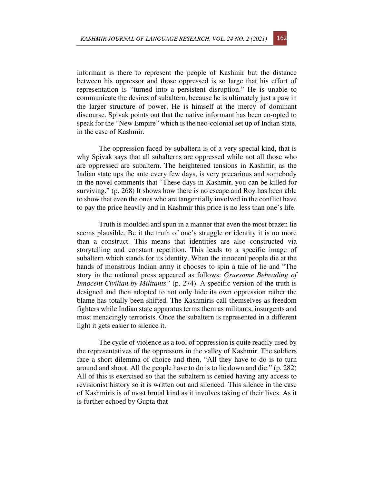informant is there to represent the people of Kashmir but the distance between his oppressor and those oppressed is so large that his effort of representation is "turned into a persistent disruption." He is unable to communicate the desires of subaltern, because he is ultimately just a paw in the larger structure of power. He is himself at the mercy of dominant discourse. Spivak points out that the native informant has been co-opted to speak for the "New Empire" which is the neo-colonial set up of Indian state, in the case of Kashmir.

The oppression faced by subaltern is of a very special kind, that is why Spivak says that all subalterns are oppressed while not all those who are oppressed are subaltern. The heightened tensions in Kashmir, as the Indian state ups the ante every few days, is very precarious and somebody in the novel comments that "These days in Kashmir, you can be killed for surviving." (p. 268) It shows how there is no escape and Roy has been able to show that even the ones who are tangentially involved in the conflict have to pay the price heavily and in Kashmir this price is no less than one's life.

Truth is moulded and spun in a manner that even the most brazen lie seems plausible. Be it the truth of one's struggle or identity it is no more than a construct. This means that identities are also constructed via storytelling and constant repetition. This leads to a specific image of subaltern which stands for its identity. When the innocent people die at the hands of monstrous Indian army it chooses to spin a tale of lie and "The story in the national press appeared as follows: *Gruesome Beheading of Innocent Civilian by Militants"* (p. 274). A specific version of the truth is designed and then adopted to not only hide its own oppression rather the blame has totally been shifted. The Kashmiris call themselves as freedom fighters while Indian state apparatus terms them as militants, insurgents and most menacingly terrorists. Once the subaltern is represented in a different light it gets easier to silence it.

The cycle of violence as a tool of oppression is quite readily used by the representatives of the oppressors in the valley of Kashmir. The soldiers face a short dilemma of choice and then, "All they have to do is to turn around and shoot. All the people have to do is to lie down and die." (p. 282) All of this is exercised so that the subaltern is denied having any access to revisionist history so it is written out and silenced. This silence in the case of Kashmiris is of most brutal kind as it involves taking of their lives. As it is further echoed by Gupta that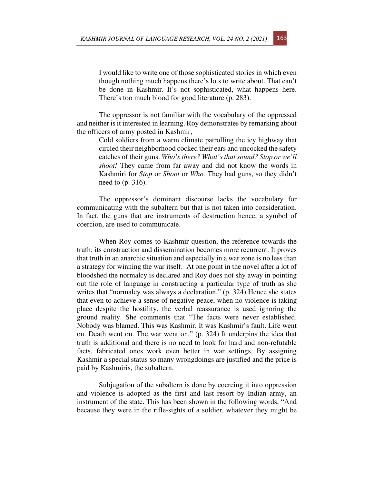I would like to write one of those sophisticated stories in which even though nothing much happens there's lots to write about. That can't be done in Kashmir. It's not sophisticated, what happens here. There's too much blood for good literature (p. 283).

The oppressor is not familiar with the vocabulary of the oppressed and neither is it interested in learning. Roy demonstrates by remarking about the officers of army posted in Kashmir,

> Cold soldiers from a warm climate patrolling the icy highway that circled their neighborhood cocked their ears and uncocked the safety catches of their guns. *Who's there? What's that sound? Stop or we'll shoot!* They came from far away and did not know the words in Kashmiri for *Stop* or *Shoot* or *Who.* They had guns, so they didn't need to (p. 316).

The oppressor's dominant discourse lacks the vocabulary for communicating with the subaltern but that is not taken into consideration. In fact, the guns that are instruments of destruction hence, a symbol of coercion, are used to communicate.

When Roy comes to Kashmir question, the reference towards the truth; its construction and dissemination becomes more recurrent. It proves that truth in an anarchic situation and especially in a war zone is no less than a strategy for winning the war itself. At one point in the novel after a lot of bloodshed the normalcy is declared and Roy does not shy away in pointing out the role of language in constructing a particular type of truth as she writes that "normalcy was always a declaration." (p. 324) Hence she states that even to achieve a sense of negative peace, when no violence is taking place despite the hostility, the verbal reassurance is used ignoring the ground reality. She comments that "The facts were never established. Nobody was blamed. This was Kashmir. It was Kashmir's fault. Life went on. Death went on. The war went on." (p. 324) It underpins the idea that truth is additional and there is no need to look for hard and non-refutable facts, fabricated ones work even better in war settings. By assigning Kashmir a special status so many wrongdoings are justified and the price is paid by Kashmiris, the subaltern.

Subjugation of the subaltern is done by coercing it into oppression and violence is adopted as the first and last resort by Indian army, an instrument of the state. This has been shown in the following words, "And because they were in the rifle-sights of a soldier, whatever they might be

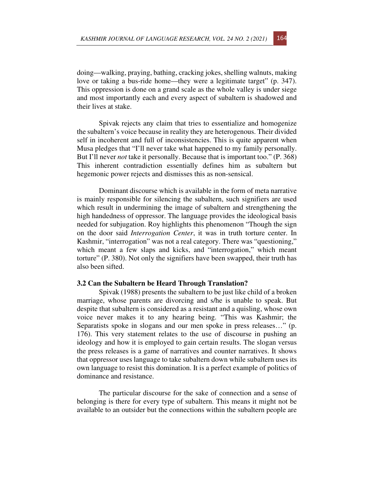doing—walking, praying, bathing, cracking jokes, shelling walnuts, making love or taking a bus-ride home—they were a legitimate target" (p. 347). This oppression is done on a grand scale as the whole valley is under siege and most importantly each and every aspect of subaltern is shadowed and their lives at stake.

Spivak rejects any claim that tries to essentialize and homogenize the subaltern's voice because in reality they are heterogenous. Their divided self in incoherent and full of inconsistencies. This is quite apparent when Musa pledges that "I'll never take what happened to my family personally. But I'll never *not* take it personally. Because that is important too." (P. 368) This inherent contradiction essentially defines him as subaltern but hegemonic power rejects and dismisses this as non-sensical.

Dominant discourse which is available in the form of meta narrative is mainly responsible for silencing the subaltern, such signifiers are used which result in undermining the image of subaltern and strengthening the high handedness of oppressor. The language provides the ideological basis needed for subjugation. Roy highlights this phenomenon "Though the sign on the door said *Interrogation Center*, it was in truth torture center. In Kashmir, "interrogation" was not a real category. There was "questioning," which meant a few slaps and kicks, and "interrogation," which meant torture" (P. 380). Not only the signifiers have been swapped, their truth has also been sifted.

#### **3.2 Can the Subaltern be Heard Through Translation?**

Spivak (1988) presents the subaltern to be just like child of a broken marriage, whose parents are divorcing and s/he is unable to speak. But despite that subaltern is considered as a resistant and a quisling, whose own voice never makes it to any hearing being. "This was Kashmir; the Separatists spoke in slogans and our men spoke in press releases…" (p. 176). This very statement relates to the use of discourse in pushing an ideology and how it is employed to gain certain results. The slogan versus the press releases is a game of narratives and counter narratives. It shows that oppressor uses language to take subaltern down while subaltern uses its own language to resist this domination. It is a perfect example of politics of dominance and resistance.

The particular discourse for the sake of connection and a sense of belonging is there for every type of subaltern. This means it might not be available to an outsider but the connections within the subaltern people are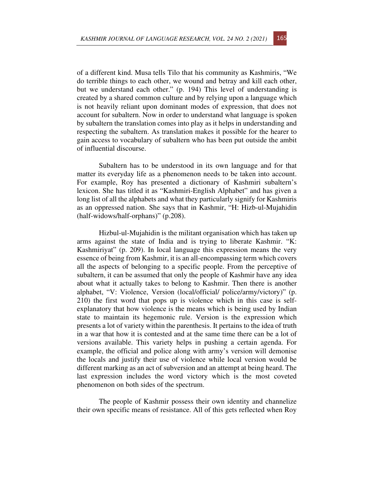of a different kind. Musa tells Tilo that his community as Kashmiris, "We do terrible things to each other, we wound and betray and kill each other, but we understand each other." (p. 194) This level of understanding is created by a shared common culture and by relying upon a language which is not heavily reliant upon dominant modes of expression, that does not account for subaltern. Now in order to understand what language is spoken by subaltern the translation comes into play as it helps in understanding and respecting the subaltern. As translation makes it possible for the hearer to gain access to vocabulary of subaltern who has been put outside the ambit of influential discourse.

Subaltern has to be understood in its own language and for that matter its everyday life as a phenomenon needs to be taken into account. For example, Roy has presented a dictionary of Kashmiri subaltern's lexicon. She has titled it as "Kashmiri-English Alphabet" and has given a long list of all the alphabets and what they particularly signify for Kashmiris as an oppressed nation. She says that in Kashmir, "H: Hizb-ul-Mujahidin (half-widows/half-orphans)" (p.208).

Hizbul-ul-Mujahidin is the militant organisation which has taken up arms against the state of India and is trying to liberate Kashmir. "K: Kashmiriyat" (p. 209). In local language this expression means the very essence of being from Kashmir, it is an all-encompassing term which covers all the aspects of belonging to a specific people. From the perceptive of subaltern, it can be assumed that only the people of Kashmir have any idea about what it actually takes to belong to Kashmir. Then there is another alphabet, "V: Violence, Version (local/official/ police/army/victory)" (p. 210) the first word that pops up is violence which in this case is selfexplanatory that how violence is the means which is being used by Indian state to maintain its hegemonic rule. Version is the expression which presents a lot of variety within the parenthesis. It pertains to the idea of truth in a war that how it is contested and at the same time there can be a lot of versions available. This variety helps in pushing a certain agenda. For example, the official and police along with army's version will demonise the locals and justify their use of violence while local version would be different marking as an act of subversion and an attempt at being heard. The last expression includes the word victory which is the most coveted phenomenon on both sides of the spectrum.

The people of Kashmir possess their own identity and channelize their own specific means of resistance. All of this gets reflected when Roy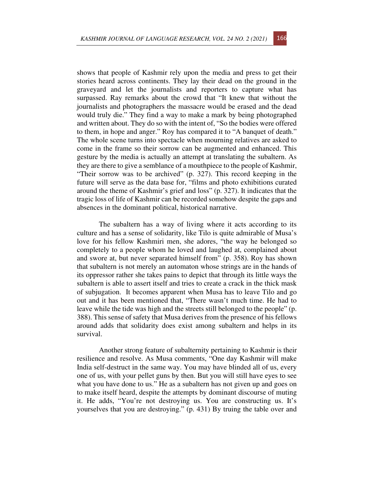shows that people of Kashmir rely upon the media and press to get their stories heard across continents. They lay their dead on the ground in the graveyard and let the journalists and reporters to capture what has surpassed. Ray remarks about the crowd that "It knew that without the journalists and photographers the massacre would be erased and the dead would truly die." They find a way to make a mark by being photographed and written about. They do so with the intent of, "So the bodies were offered to them, in hope and anger." Roy has compared it to "A banquet of death." The whole scene turns into spectacle when mourning relatives are asked to come in the frame so their sorrow can be augmented and enhanced. This gesture by the media is actually an attempt at translating the subaltern. As they are there to give a semblance of a mouthpiece to the people of Kashmir, "Their sorrow was to be archived" (p. 327). This record keeping in the future will serve as the data base for, "films and photo exhibitions curated around the theme of Kashmir's grief and loss" (p. 327). It indicates that the tragic loss of life of Kashmir can be recorded somehow despite the gaps and absences in the dominant political, historical narrative.

The subaltern has a way of living where it acts according to its culture and has a sense of solidarity, like Tilo is quite admirable of Musa's love for his fellow Kashmiri men, she adores, "the way he belonged so completely to a people whom he loved and laughed at, complained about and swore at, but never separated himself from" (p. 358). Roy has shown that subaltern is not merely an automaton whose strings are in the hands of its oppressor rather she takes pains to depict that through its little ways the subaltern is able to assert itself and tries to create a crack in the thick mask of subjugation. It becomes apparent when Musa has to leave Tilo and go out and it has been mentioned that, "There wasn't much time. He had to leave while the tide was high and the streets still belonged to the people" (p. 388). This sense of safety that Musa derives from the presence of his fellows around adds that solidarity does exist among subaltern and helps in its survival.

Another strong feature of subalternity pertaining to Kashmir is their resilience and resolve. As Musa comments, "One day Kashmir will make India self-destruct in the same way. You may have blinded all of us, every one of us, with your pellet guns by then. But you will still have eyes to see what you have done to us." He as a subaltern has not given up and goes on to make itself heard, despite the attempts by dominant discourse of muting it. He adds, "You're not destroying us. You are constructing us. It's yourselves that you are destroying." (p. 431) By truing the table over and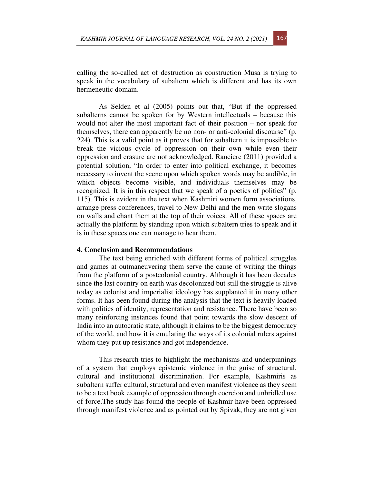calling the so-called act of destruction as construction Musa is trying to speak in the vocabulary of subaltern which is different and has its own hermeneutic domain.

As Selden et al (2005) points out that, "But if the oppressed subalterns cannot be spoken for by Western intellectuals – because this would not alter the most important fact of their position – nor speak for themselves, there can apparently be no non- or anti-colonial discourse" (p. 224). This is a valid point as it proves that for subaltern it is impossible to break the vicious cycle of oppression on their own while even their oppression and erasure are not acknowledged. Ranciere (2011) provided a potential solution, "In order to enter into political exchange, it becomes necessary to invent the scene upon which spoken words may be audible, in which objects become visible, and individuals themselves may be recognized. It is in this respect that we speak of a poetics of politics" (p. 115). This is evident in the text when Kashmiri women form associations, arrange press conferences, travel to New Delhi and the men write slogans on walls and chant them at the top of their voices. All of these spaces are actually the platform by standing upon which subaltern tries to speak and it is in these spaces one can manage to hear them.

## **4. Conclusion and Recommendations**

The text being enriched with different forms of political struggles and games at outmaneuvering them serve the cause of writing the things from the platform of a postcolonial country. Although it has been decades since the last country on earth was decolonized but still the struggle is alive today as colonist and imperialist ideology has supplanted it in many other forms. It has been found during the analysis that the text is heavily loaded with politics of identity, representation and resistance. There have been so many reinforcing instances found that point towards the slow descent of India into an autocratic state, although it claims to be the biggest democracy of the world, and how it is emulating the ways of its colonial rulers against whom they put up resistance and got independence.

This research tries to highlight the mechanisms and underpinnings of a system that employs epistemic violence in the guise of structural, cultural and institutional discrimination. For example, Kashmiris as subaltern suffer cultural, structural and even manifest violence as they seem to be a text book example of oppression through coercion and unbridled use of force.The study has found the people of Kashmir have been oppressed through manifest violence and as pointed out by Spivak, they are not given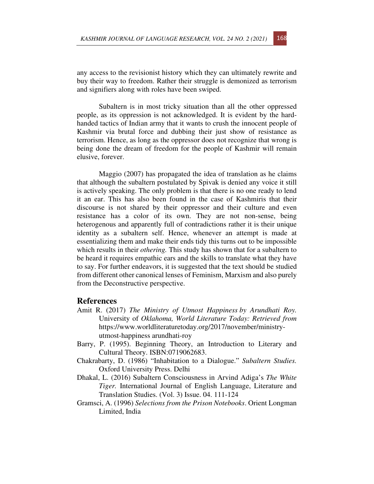any access to the revisionist history which they can ultimately rewrite and buy their way to freedom. Rather their struggle is demonized as terrorism and signifiers along with roles have been swiped.

Subaltern is in most tricky situation than all the other oppressed people, as its oppression is not acknowledged. It is evident by the hardhanded tactics of Indian army that it wants to crush the innocent people of Kashmir via brutal force and dubbing their just show of resistance as terrorism. Hence, as long as the oppressor does not recognize that wrong is being done the dream of freedom for the people of Kashmir will remain elusive, forever.

Maggio (2007) has propagated the idea of translation as he claims that although the subaltern postulated by Spivak is denied any voice it still is actively speaking. The only problem is that there is no one ready to lend it an ear. This has also been found in the case of Kashmiris that their discourse is not shared by their oppressor and their culture and even resistance has a color of its own. They are not non-sense, being heterogenous and apparently full of contradictions rather it is their unique identity as a subaltern self. Hence, whenever an attempt is made at essentializing them and make their ends tidy this turns out to be impossible which results in their *othering*. This study has shown that for a subaltern to be heard it requires empathic ears and the skills to translate what they have to say. For further endeavors, it is suggested that the text should be studied from different other canonical lenses of Feminism, Marxism and also purely from the Deconstructive perspective.

## **References**

- Amit R. (2017) *The Ministry of Utmost Happiness by Arundhati Roy.*  University of *Oklahoma, World Literature Today: Retrieved from*  https://www.worldliteraturetoday.org/2017/november/ministryutmost-happiness arundhati-roy
- Barry, P. (1995). Beginning Theory, an Introduction to Literary and Cultural Theory. ISBN:0719062683.
- Chakrabarty, D. (1986) "Inhabitation to a Dialogue." *Subaltern Studies.* Oxford University Press. Delhi
- Dhakal, L. (2016) Subaltern Consciousness in Arvind Adiga's *The White Tiger.* International Journal of English Language, Literature and Translation Studies. (Vol. 3) Issue. 04. 111-124
- Gramsci, A. (1996) *Selections from the Prison Notebooks*. Orient Longman Limited, India